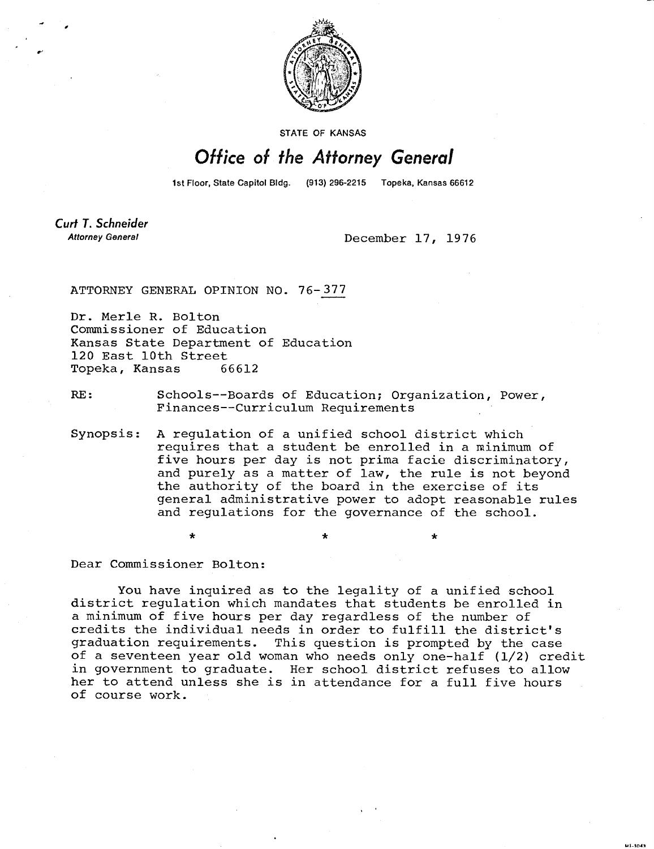

**STATE OF KANSAS** 

## Office of the Attorney General

1st Floor, State Capitol Bldg. (913) 296-2215 Topeka, Kansas 66612

**Curt T. Schneider Attorney General** 

December 17, 1976

**MI-1043** 

ATTORNEY GENERAL OPINION NO. 76-377

Dr. Merle R. Bolton Commissioner of Education Kansas State Department of Education 120 East 10th Street Topeka, Kansas 66612

RE: Schools--Boards of Education; Organization, Power, Finances--Curriculum Requirements

Synopsis: A regulation of a unified school district which requires that a student be enrolled in a minimum of five hours per day is not prima facie discriminatory, and purely as a matter of law, the rule is not beyond the authority of the board in the exercise of its general administrative power to adopt reasonable rules and regulations for the governance of the school.

Dear Commissioner Bolton:

You have inquired as to the legality of a unified school district regulation which mandates that students be enrolled in a minimum of five hours per day regardless of the number of credits the individual needs in order to fulfill the district's graduation requirements. This question is prompted by the case of a seventeen year old woman who needs only one-half (1/2) credit in government to graduate. Her school district refuses to allow her to attend unless she is in attendance for a full five hours of course work.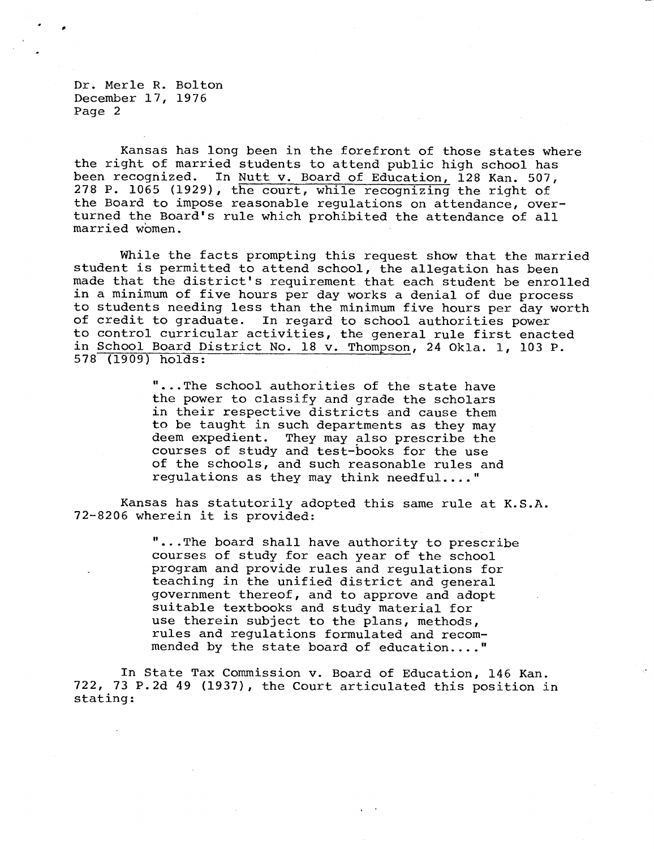Dr. Merle R. Bolton December 17, 1976 Page 2

Kansas has long been in the forefront of those states where the right of married students to attend public high school has been recognized. In Nutt v. Board of Education, 128 Kan. 507, 278 P. 1065 (1929), the court, while recognizing the right of the Board to impose reasonable regulations on attendance, overturned the Board's rule which prohibited the attendance of all married women.

While the facts prompting this request show that the married student is permitted to attend school, the allegation has been made that the district's requirement that each student be enrolled in a minimum of five hours per day works a denial of due process to students needing less than the minimum five hours per day worth of credit to graduate. In regard to school authorities power to control curricular activities, the general rule first enacted in School Board District No. 18 v. Thompson, 24 Okla. 1, 103 P. 578 (1909) holds:

> "...The school authorities of the state have the power to classify and grade the scholars in their respective districts and cause them to be taught in such departments as they may deem expedient. They may also prescribe the courses of study and test-books for the use of the schools, and such reasonable rules and regulations as they may think needful...."

Kansas has statutorily adopted this same rule at K.S.A. 72-8206 wherein it is provided:

> "...The board shall have authority to prescribe courses of study for each year of the school program and provide rules and regulations for teaching in the unified district and general government thereof, and to approve and adopt suitable textbooks and study material for use therein subject to the plans, methods, rules and regulations formulated and recommended by the state board of education...."

In State Tax Commission v. Board of Education, 146 Kan. 722, 73 P.2d 49 (1937), the Court articulated this position in stating: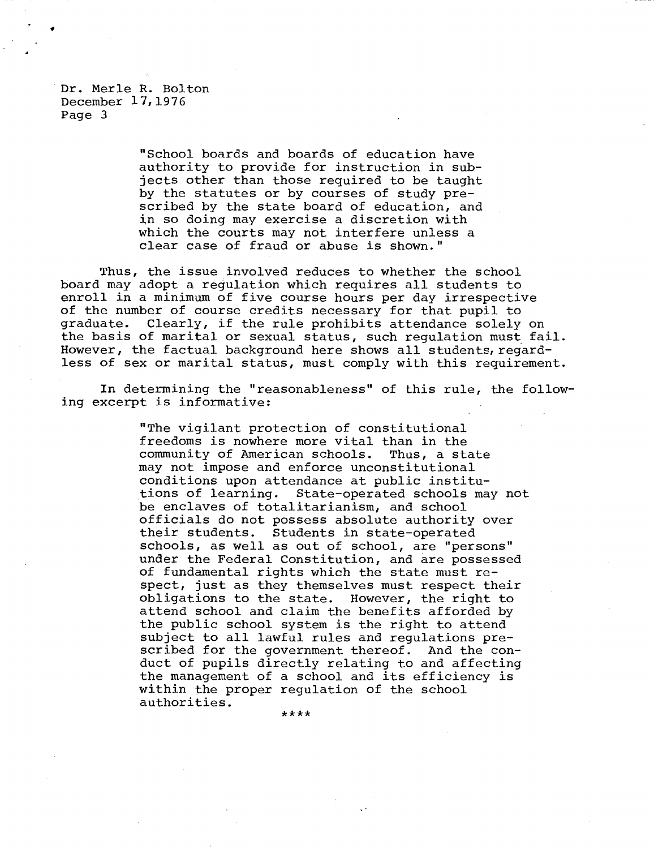Dr. Merle R. Bolton December 17,1976 Page 3

> "School boards and boards of education have authority to provide for instruction in subjects other than those required to be taught by the statutes or by courses of study prescribed by the state board of education, and in so doing may exercise a discretion with which the courts may not interfere unless a clear case of fraud or abuse is shown."

Thus, the issue involved reduces to whether the school board may adopt a regulation which requires all students to enroll in a minimum of five course hours per day irrespective of the number of course credits necessary for that pupil to graduate. Clearly, if the rule prohibits attendance solely on the basis of marital or sexual status, such regulation must fail. However, the factual background here shows all students, regardless of sex or marital status, must comply with this requirement.

In determining the "reasonableness" of this rule, the following excerpt is informative:

> "The vigilant protection of constitutional freedoms is nowhere more vital than in the community of American schools. Thus, a state may not impose and enforce unconstitutional conditions upon attendance at public institu-<br>tions of learning. State-operated schools may State-operated schools may not be enclaves of totalitarianism, and school officials do not possess absolute authority over their students. Students in state-operated schools, as well as out of school, are "persons" under the Federal Constitution, and are possessed of fundamental rights which the state must respect, just as they themselves must respect their obligations to the state. However, the right to attend school and claim the benefits afforded by the public school system is the right to attend subject to all lawful rules and regulations prescribed for the government thereof. And the conduct of pupils directly relating to and affecting the management of a school and its efficiency is within the proper regulation of the school authorities.

> > \*\*\*\*